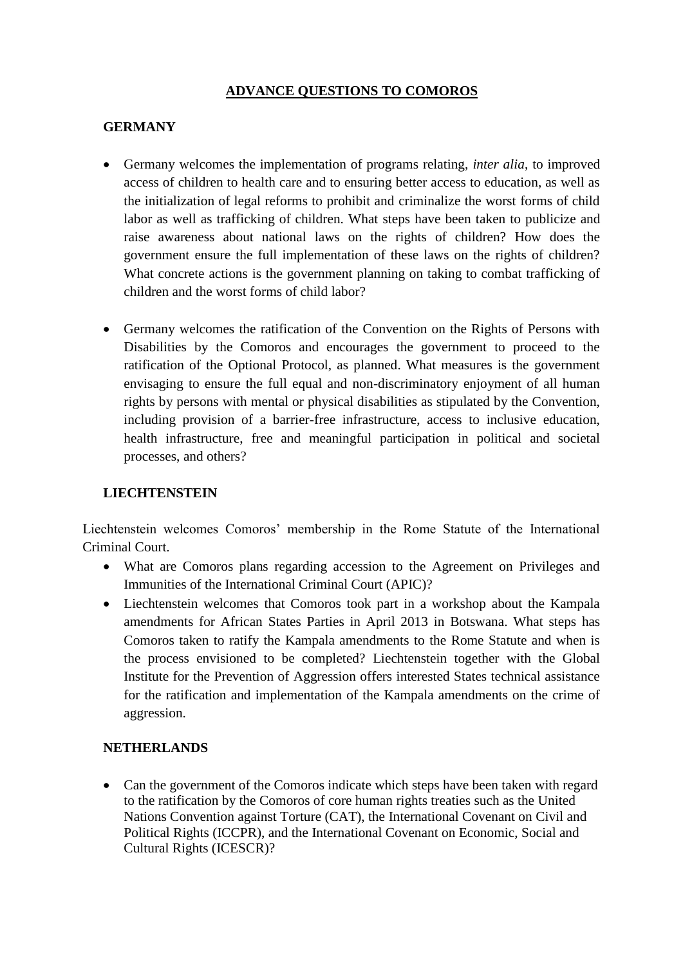# **ADVANCE QUESTIONS TO COMOROS**

## **GERMANY**

- Germany welcomes the implementation of programs relating, *inter alia*, to improved access of children to health care and to ensuring better access to education, as well as the initialization of legal reforms to prohibit and criminalize the worst forms of child labor as well as trafficking of children. What steps have been taken to publicize and raise awareness about national laws on the rights of children? How does the government ensure the full implementation of these laws on the rights of children? What concrete actions is the government planning on taking to combat trafficking of children and the worst forms of child labor?
- Germany welcomes the ratification of the Convention on the Rights of Persons with Disabilities by the Comoros and encourages the government to proceed to the ratification of the Optional Protocol, as planned. What measures is the government envisaging to ensure the full equal and non-discriminatory enjoyment of all human rights by persons with mental or physical disabilities as stipulated by the Convention, including provision of a barrier-free infrastructure, access to inclusive education, health infrastructure, free and meaningful participation in political and societal processes, and others?

### **LIECHTENSTEIN**

Liechtenstein welcomes Comoros' membership in the Rome Statute of the International Criminal Court.

- What are Comoros plans regarding accession to the Agreement on Privileges and Immunities of the International Criminal Court (APIC)?
- Liechtenstein welcomes that Comoros took part in a workshop about the Kampala amendments for African States Parties in April 2013 in Botswana. What steps has Comoros taken to ratify the Kampala amendments to the Rome Statute and when is the process envisioned to be completed? Liechtenstein together with the Global Institute for the Prevention of Aggression offers interested States technical assistance for the ratification and implementation of the Kampala amendments on the crime of aggression.

### **NETHERLANDS**

 Can the government of the Comoros indicate which steps have been taken with regard to the ratification by the Comoros of core human rights treaties such as the United Nations Convention against Torture (CAT), the International Covenant on Civil and Political Rights (ICCPR), and the International Covenant on Economic, Social and Cultural Rights (ICESCR)?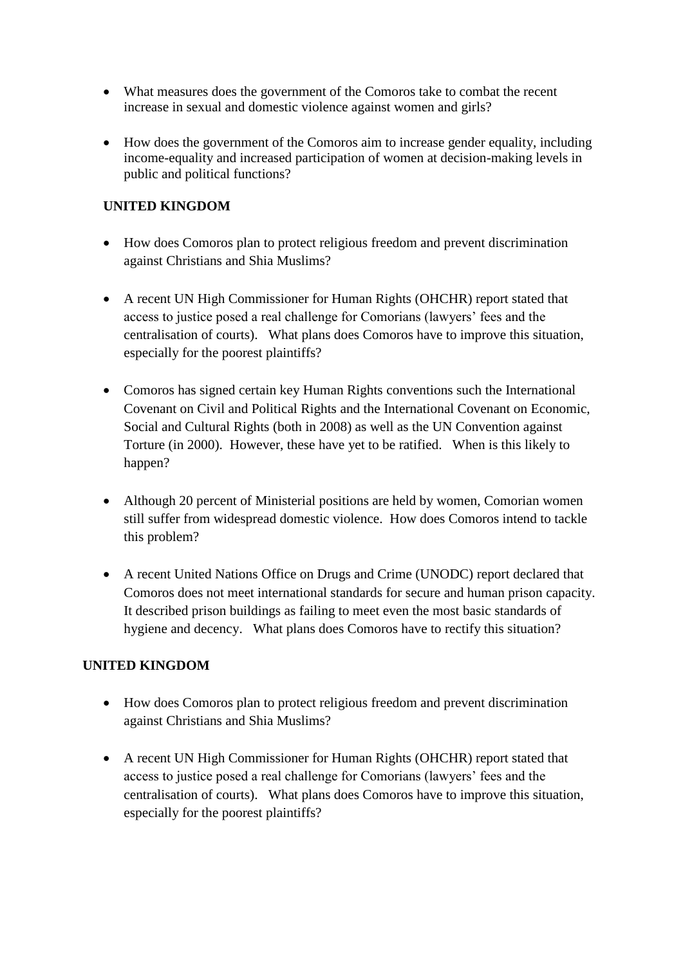- What measures does the government of the Comoros take to combat the recent increase in sexual and domestic violence against women and girls?
- How does the government of the Comoros aim to increase gender equality, including income-equality and increased participation of women at decision-making levels in public and political functions?

# **UNITED KINGDOM**

- How does Comoros plan to protect religious freedom and prevent discrimination against Christians and Shia Muslims?
- A recent UN High Commissioner for Human Rights (OHCHR) report stated that access to justice posed a real challenge for Comorians (lawyers' fees and the centralisation of courts). What plans does Comoros have to improve this situation, especially for the poorest plaintiffs?
- Comoros has signed certain key Human Rights conventions such the International Covenant on Civil and Political Rights and the International Covenant on Economic, Social and Cultural Rights (both in 2008) as well as the UN Convention against Torture (in 2000). However, these have yet to be ratified. When is this likely to happen?
- Although 20 percent of Ministerial positions are held by women, Comorian women still suffer from widespread domestic violence. How does Comoros intend to tackle this problem?
- A recent United Nations Office on Drugs and Crime (UNODC) report declared that Comoros does not meet international standards for secure and human prison capacity. It described prison buildings as failing to meet even the most basic standards of hygiene and decency. What plans does Comoros have to rectify this situation?

# **UNITED KINGDOM**

- How does Comoros plan to protect religious freedom and prevent discrimination against Christians and Shia Muslims?
- A recent UN High Commissioner for Human Rights (OHCHR) report stated that access to justice posed a real challenge for Comorians (lawyers' fees and the centralisation of courts). What plans does Comoros have to improve this situation, especially for the poorest plaintiffs?